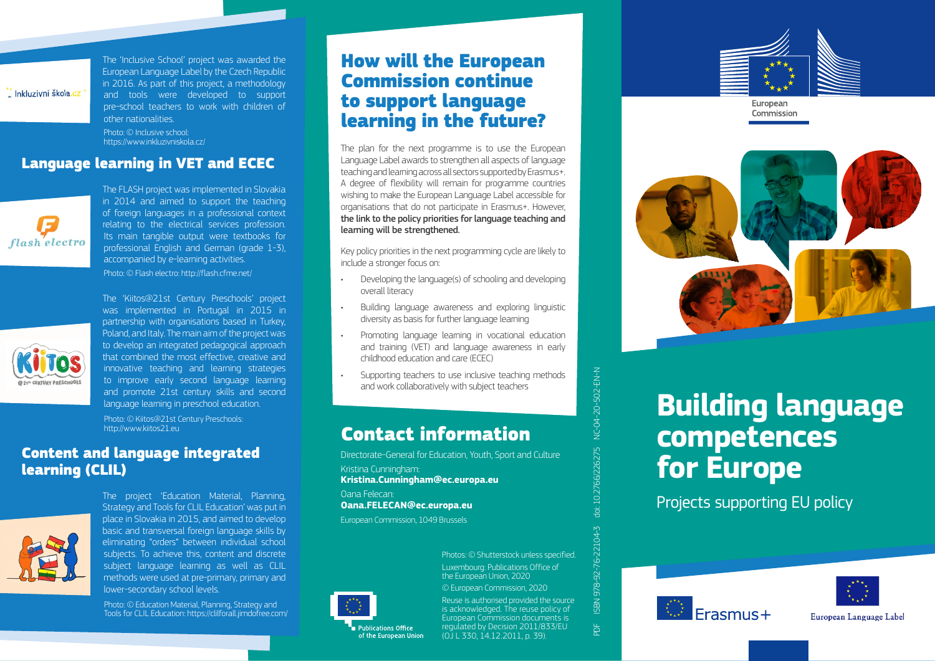,<br>Inkluzivní škola.cz

The 'Inclusive School' project was awarded the European Language Label by the Czech Republic in 2016. As part of this project, a methodology and tools were developed to support pre-school teachers to work with children of other nationalities.

Photo: © Inclusive school: <https://www.inkluzivniskola.cz/>

## Language learning in VET and ECEC



The FLASH project was implemented in Slovakia in 2014 and aimed to support the teaching of foreign languages in a professional context relating to the electrical services profession. Its main tangible output were textbooks for professional English and German (grade 1-3), accompanied by e-learning activities. Photo: © Flash electro:<http://flash.cfme.net/>



The 'Kiitos@21st Century Preschools' project was implemented in Portugal in 2015 in partnership with organisations based in Turkey, Poland, and Italy. The main aim of the project was to develop an integrated pedagogical approach that combined the most effective, creative and innovative teaching and learning strategies to improve early second language learning and promote 21st century skills and second language learning in preschool education.

Photo: © Kiitos@21st Century Preschools: <http://www.kiitos21.eu>

## Content and language integrated learning (CLIL)



The project 'Education Material, Planning, Strategy and Tools for CLIL Education' was put in place in Slovakia in 2015, and aimed to develop basic and transversal foreign language skills by eliminating "orders" between individual school subjects. To achieve this, content and discrete subject language learning as well as CLIL methods were used at pre-primary, primary and lower-secondary school levels.

Photo: © Education Material, Planning, Strategy and Tools for CLIL Education: <https://clilforall.jimdofree.com/>

# How will the European Commission continue to support language learning in the future?

The plan for the next programme is to use the European Language Label awards to strengthen all aspects of language teaching and learning across all sectors supported by Erasmus+. A degree of flexibility will remain for programme countries wishing to make the European Language Label accessible for organisations that do not participate in Erasmus+. However, the link to the policy priorities for language teaching and learning will be strengthened.

Key policy priorities in the next programming cycle are likely to include a stronger focus on:

- Developing the language(s) of schooling and developing overall literacy
- Building language awareness and exploring linguistic diversity as basis for further language learning
- Promoting language learning in vocational education and training (VET) and language awareness in early childhood education and care (ECEC)
- Supporting teachers to use inclusive teaching methods and work collaboratively with subject teachers

## Contact information

Directorate-General for Education, Youth, Sport and Culture

Kristina Cunningham: **[Kristina.Cunningham@ec.europa.eu](mailto:Kristina.Cunningham%40ec.europa.eu?subject=)** Oana Felecan: **[Oana.FELECAN@ec.europa.eu](mailto:Oana.FELECAN%40ec.europa.eu?subject=)**

European Commission, 1049 Brussels



of the European Union

Luxembourg: Publications Office of the European Union, 2020 Photos: © Shutterstock unless specified.

© European Commission, 2020

Reuse is authorised provided the source is acknowledged. The reuse policy of European Commission documents is regulated by Decision 2011/833/EU (OJ L 330, 14.12.2011, p. 39).



# European

Commission



# **Building language competences for Europe**

Projects supporting EU policy





European Language Label